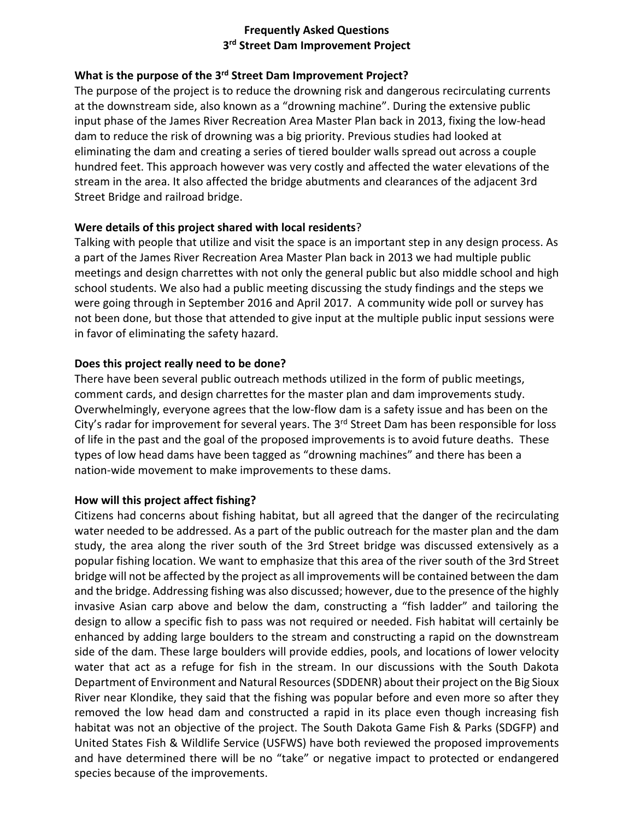# **Frequently Asked Questions 3rd Street Dam Improvement Project**

## **What is the purpose of the 3rd Street Dam Improvement Project?**

The purpose of the project is to reduce the drowning risk and dangerous recirculating currents at the downstream side, also known as a "drowning machine". During the extensive public input phase of the James River Recreation Area Master Plan back in 2013, fixing the low‐head dam to reduce the risk of drowning was a big priority. Previous studies had looked at eliminating the dam and creating a series of tiered boulder walls spread out across a couple hundred feet. This approach however was very costly and affected the water elevations of the stream in the area. It also affected the bridge abutments and clearances of the adjacent 3rd Street Bridge and railroad bridge.

### **Were details of this project shared with local residents**?

Talking with people that utilize and visit the space is an important step in any design process. As a part of the James River Recreation Area Master Plan back in 2013 we had multiple public meetings and design charrettes with not only the general public but also middle school and high school students. We also had a public meeting discussing the study findings and the steps we were going through in September 2016 and April 2017. A community wide poll or survey has not been done, but those that attended to give input at the multiple public input sessions were in favor of eliminating the safety hazard.

### **Does this project really need to be done?**

There have been several public outreach methods utilized in the form of public meetings, comment cards, and design charrettes for the master plan and dam improvements study. Overwhelmingly, everyone agrees that the low‐flow dam is a safety issue and has been on the City's radar for improvement for several years. The 3<sup>rd</sup> Street Dam has been responsible for loss of life in the past and the goal of the proposed improvements is to avoid future deaths. These types of low head dams have been tagged as "drowning machines" and there has been a nation‐wide movement to make improvements to these dams.

#### **How will this project affect fishing?**

Citizens had concerns about fishing habitat, but all agreed that the danger of the recirculating water needed to be addressed. As a part of the public outreach for the master plan and the dam study, the area along the river south of the 3rd Street bridge was discussed extensively as a popular fishing location. We want to emphasize that this area of the river south of the 3rd Street bridge will not be affected by the project as all improvements will be contained between the dam and the bridge. Addressing fishing was also discussed; however, due to the presence of the highly invasive Asian carp above and below the dam, constructing a "fish ladder" and tailoring the design to allow a specific fish to pass was not required or needed. Fish habitat will certainly be enhanced by adding large boulders to the stream and constructing a rapid on the downstream side of the dam. These large boulders will provide eddies, pools, and locations of lower velocity water that act as a refuge for fish in the stream. In our discussions with the South Dakota Department of Environment and Natural Resources(SDDENR) about their project on the Big Sioux River near Klondike, they said that the fishing was popular before and even more so after they removed the low head dam and constructed a rapid in its place even though increasing fish habitat was not an objective of the project. The South Dakota Game Fish & Parks (SDGFP) and United States Fish & Wildlife Service (USFWS) have both reviewed the proposed improvements and have determined there will be no "take" or negative impact to protected or endangered species because of the improvements.